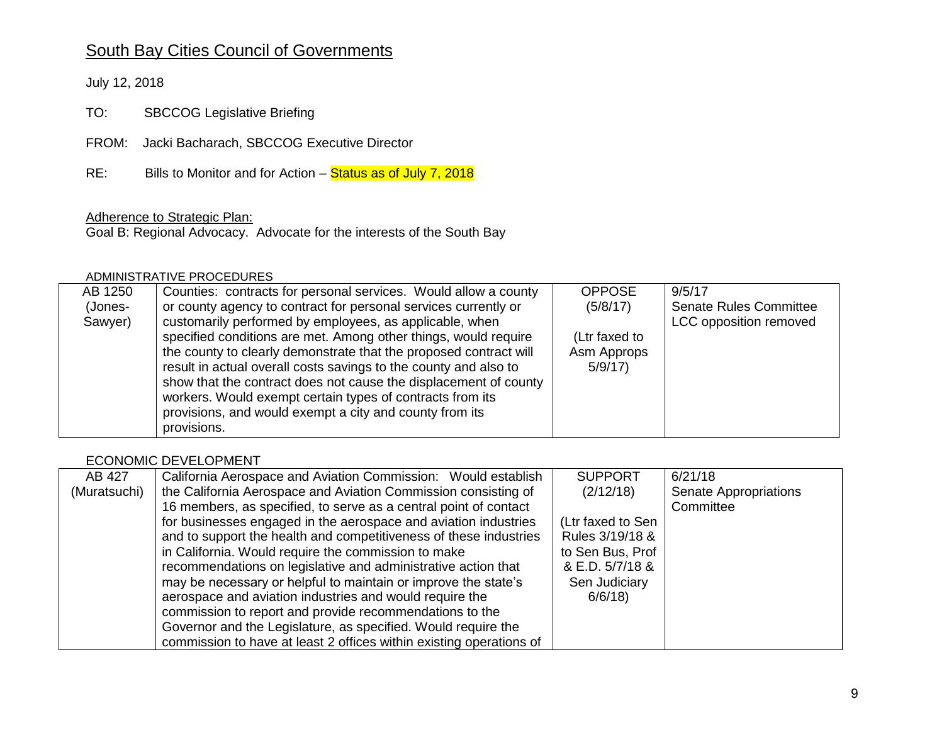# South Bay Cities Council of Governments

July 12, 2018

TO: SBCCOG Legislative Briefing

FROM: Jacki Bacharach, SBCCOG Executive Director

RE: Bills to Monitor and for Action – Status as of July 7, 2018

## Adherence to Strategic Plan:

Goal B: Regional Advocacy. Advocate for the interests of the South Bay

#### ADMINISTRATIVE PROCEDURES

| AB 1250 | Counties: contracts for personal services. Would allow a county   | <b>OPPOSE</b> | 9/5/17                        |
|---------|-------------------------------------------------------------------|---------------|-------------------------------|
| (Jones- | or county agency to contract for personal services currently or   | (5/8/17)      | <b>Senate Rules Committee</b> |
| Sawyer) | customarily performed by employees, as applicable, when           |               | LCC opposition removed        |
|         | specified conditions are met. Among other things, would require   | (Ltr faxed to |                               |
|         | the county to clearly demonstrate that the proposed contract will | Asm Approps   |                               |
|         | result in actual overall costs savings to the county and also to  | 5/9/17        |                               |
|         | show that the contract does not cause the displacement of county  |               |                               |
|         | workers. Would exempt certain types of contracts from its         |               |                               |
|         | provisions, and would exempt a city and county from its           |               |                               |
|         | provisions.                                                       |               |                               |

#### ECONOMIC DEVELOPMENT

| AB 427       | California Aerospace and Aviation Commission: Would establish       | <b>SUPPORT</b>    | 6/21/18                      |
|--------------|---------------------------------------------------------------------|-------------------|------------------------------|
| (Muratsuchi) | the California Aerospace and Aviation Commission consisting of      | (2/12/18)         | <b>Senate Appropriations</b> |
|              | 16 members, as specified, to serve as a central point of contact    |                   | Committee                    |
|              | for businesses engaged in the aerospace and aviation industries     | (Ltr faxed to Sen |                              |
|              | and to support the health and competitiveness of these industries   | Rules 3/19/18 &   |                              |
|              | in California. Would require the commission to make                 | to Sen Bus, Prof  |                              |
|              | recommendations on legislative and administrative action that       | & E.D. 5/7/18 &   |                              |
|              | may be necessary or helpful to maintain or improve the state's      | Sen Judiciary     |                              |
|              | aerospace and aviation industries and would require the             | 6/6/18            |                              |
|              | commission to report and provide recommendations to the             |                   |                              |
|              | Governor and the Legislature, as specified. Would require the       |                   |                              |
|              | commission to have at least 2 offices within existing operations of |                   |                              |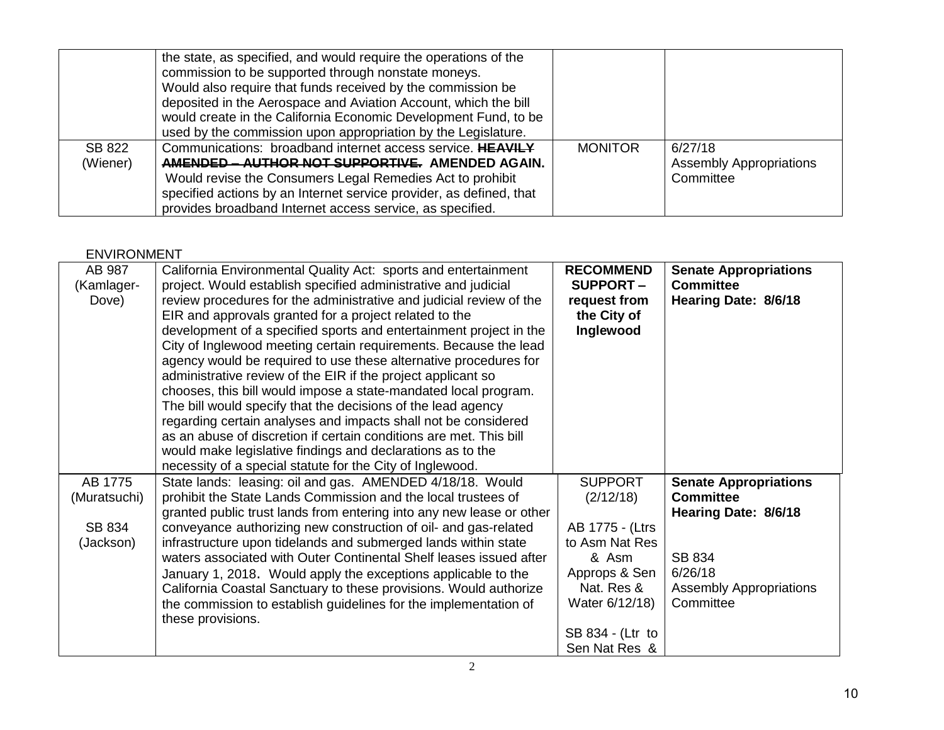|          | the state, as specified, and would require the operations of the<br>commission to be supported through nonstate moneys.<br>Would also require that funds received by the commission be<br>deposited in the Aerospace and Aviation Account, which the bill<br>would create in the California Economic Development Fund, to be |                |                                |
|----------|------------------------------------------------------------------------------------------------------------------------------------------------------------------------------------------------------------------------------------------------------------------------------------------------------------------------------|----------------|--------------------------------|
|          | used by the commission upon appropriation by the Legislature.                                                                                                                                                                                                                                                                |                |                                |
| SB 822   | Communications: broadband internet access service. HEAVILY                                                                                                                                                                                                                                                                   | <b>MONITOR</b> | 6/27/18                        |
| (Wiener) | AMENDED - AUTHOR NOT SUPPORTIVE. AMENDED AGAIN.                                                                                                                                                                                                                                                                              |                | <b>Assembly Appropriations</b> |
|          | Would revise the Consumers Legal Remedies Act to prohibit                                                                                                                                                                                                                                                                    |                | Committee                      |
|          | specified actions by an Internet service provider, as defined, that                                                                                                                                                                                                                                                          |                |                                |
|          | provides broadband Internet access service, as specified.                                                                                                                                                                                                                                                                    |                |                                |

# ENVIRONMENT

| AB 987<br>(Kamlager-<br>Dove) | California Environmental Quality Act: sports and entertainment<br>project. Would establish specified administrative and judicial<br>review procedures for the administrative and judicial review of the<br>EIR and approvals granted for a project related to the<br>development of a specified sports and entertainment project in the<br>City of Inglewood meeting certain requirements. Because the lead<br>agency would be required to use these alternative procedures for<br>administrative review of the EIR if the project applicant so<br>chooses, this bill would impose a state-mandated local program. | <b>RECOMMEND</b><br><b>SUPPORT-</b><br>request from<br>the City of<br>Inglewood | <b>Senate Appropriations</b><br><b>Committee</b><br>Hearing Date: 8/6/18 |
|-------------------------------|--------------------------------------------------------------------------------------------------------------------------------------------------------------------------------------------------------------------------------------------------------------------------------------------------------------------------------------------------------------------------------------------------------------------------------------------------------------------------------------------------------------------------------------------------------------------------------------------------------------------|---------------------------------------------------------------------------------|--------------------------------------------------------------------------|
|                               | The bill would specify that the decisions of the lead agency                                                                                                                                                                                                                                                                                                                                                                                                                                                                                                                                                       |                                                                                 |                                                                          |
|                               | regarding certain analyses and impacts shall not be considered                                                                                                                                                                                                                                                                                                                                                                                                                                                                                                                                                     |                                                                                 |                                                                          |
|                               | as an abuse of discretion if certain conditions are met. This bill                                                                                                                                                                                                                                                                                                                                                                                                                                                                                                                                                 |                                                                                 |                                                                          |
|                               | would make legislative findings and declarations as to the                                                                                                                                                                                                                                                                                                                                                                                                                                                                                                                                                         |                                                                                 |                                                                          |
|                               | necessity of a special statute for the City of Inglewood.                                                                                                                                                                                                                                                                                                                                                                                                                                                                                                                                                          |                                                                                 |                                                                          |
| AB 1775                       | State lands: leasing: oil and gas. AMENDED 4/18/18. Would                                                                                                                                                                                                                                                                                                                                                                                                                                                                                                                                                          | <b>SUPPORT</b>                                                                  | <b>Senate Appropriations</b>                                             |
| (Muratsuchi)                  | prohibit the State Lands Commission and the local trustees of                                                                                                                                                                                                                                                                                                                                                                                                                                                                                                                                                      | (2/12/18)                                                                       | <b>Committee</b>                                                         |
|                               | granted public trust lands from entering into any new lease or other                                                                                                                                                                                                                                                                                                                                                                                                                                                                                                                                               |                                                                                 | Hearing Date: 8/6/18                                                     |
| SB 834                        | conveyance authorizing new construction of oil- and gas-related                                                                                                                                                                                                                                                                                                                                                                                                                                                                                                                                                    | AB 1775 - (Ltrs                                                                 |                                                                          |
| (Jackson)                     | infrastructure upon tidelands and submerged lands within state                                                                                                                                                                                                                                                                                                                                                                                                                                                                                                                                                     | to Asm Nat Res                                                                  |                                                                          |
|                               | waters associated with Outer Continental Shelf leases issued after                                                                                                                                                                                                                                                                                                                                                                                                                                                                                                                                                 | & Asm                                                                           | SB 834                                                                   |
|                               | January 1, 2018. Would apply the exceptions applicable to the                                                                                                                                                                                                                                                                                                                                                                                                                                                                                                                                                      | Approps & Sen                                                                   | 6/26/18                                                                  |
|                               | California Coastal Sanctuary to these provisions. Would authorize                                                                                                                                                                                                                                                                                                                                                                                                                                                                                                                                                  | Nat. Res &                                                                      | <b>Assembly Appropriations</b>                                           |
|                               | the commission to establish guidelines for the implementation of                                                                                                                                                                                                                                                                                                                                                                                                                                                                                                                                                   | Water 6/12/18)                                                                  | Committee                                                                |
|                               | these provisions.                                                                                                                                                                                                                                                                                                                                                                                                                                                                                                                                                                                                  |                                                                                 |                                                                          |
|                               |                                                                                                                                                                                                                                                                                                                                                                                                                                                                                                                                                                                                                    | SB 834 - (Ltr to                                                                |                                                                          |
|                               |                                                                                                                                                                                                                                                                                                                                                                                                                                                                                                                                                                                                                    | Sen Nat Res &                                                                   |                                                                          |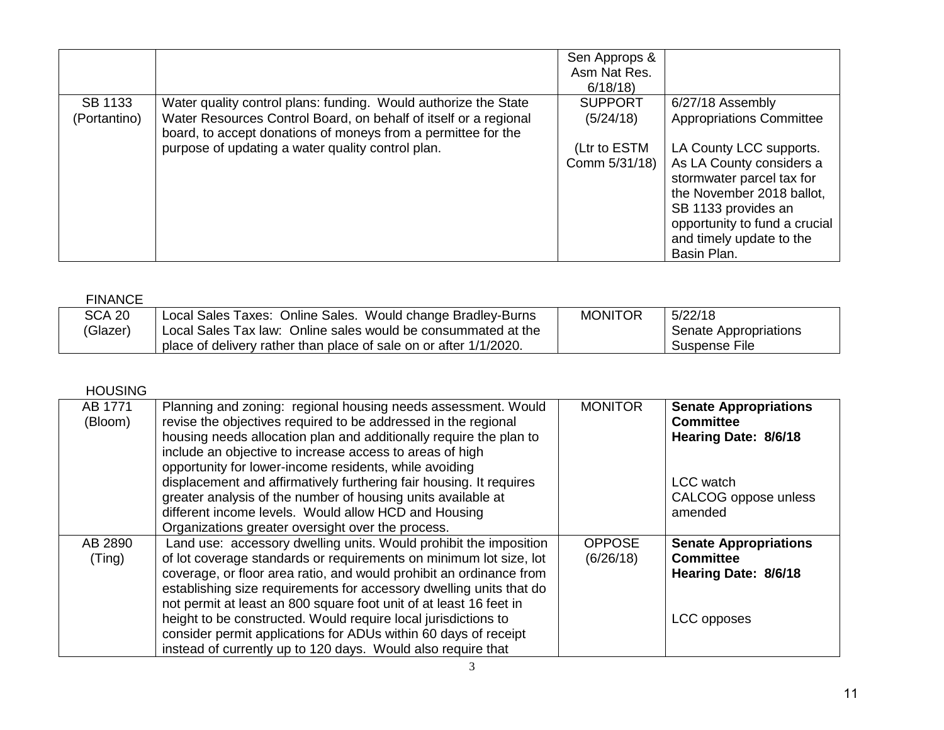|              |                                                                                                                                   | Sen Approps &<br>Asm Nat Res.<br>6/18/18 |                                                                                                                                                                                       |
|--------------|-----------------------------------------------------------------------------------------------------------------------------------|------------------------------------------|---------------------------------------------------------------------------------------------------------------------------------------------------------------------------------------|
| SB 1133      | Water quality control plans: funding. Would authorize the State                                                                   | <b>SUPPORT</b>                           | 6/27/18 Assembly                                                                                                                                                                      |
| (Portantino) | Water Resources Control Board, on behalf of itself or a regional<br>board, to accept donations of moneys from a permittee for the | (5/24/18)                                | <b>Appropriations Committee</b>                                                                                                                                                       |
|              | purpose of updating a water quality control plan.                                                                                 | (Ltr to ESTM                             | LA County LCC supports.                                                                                                                                                               |
|              |                                                                                                                                   | Comm 5/31/18)                            | As LA County considers a<br>stormwater parcel tax for<br>the November 2018 ballot,<br>SB 1133 provides an<br>opportunity to fund a crucial<br>and timely update to the<br>Basin Plan. |

| FINANCE       |                                                                   |                |                       |
|---------------|-------------------------------------------------------------------|----------------|-----------------------|
| <b>SCA 20</b> | Local Sales Taxes: Online Sales. Would change Bradley-Burns       | <b>MONITOR</b> | 5/22/18               |
| (Glazer)      | Local Sales Tax law: Online sales would be consummated at the     |                | Senate Appropriations |
|               | place of delivery rather than place of sale on or after 1/1/2020. |                | Suspense File         |

# HOUSING

| AB 1771<br>(Bloom) | Planning and zoning: regional housing needs assessment. Would<br>revise the objectives required to be addressed in the regional<br>housing needs allocation plan and additionally require the plan to<br>include an objective to increase access to areas of high<br>opportunity for lower-income residents, while avoiding<br>displacement and affirmatively furthering fair housing. It requires<br>greater analysis of the number of housing units available at<br>different income levels. Would allow HCD and Housing<br>Organizations greater oversight over the process. | <b>MONITOR</b>             | <b>Senate Appropriations</b><br><b>Committee</b><br>Hearing Date: 8/6/18<br><b>LCC</b> watch<br>CALCOG oppose unless<br>amended |
|--------------------|---------------------------------------------------------------------------------------------------------------------------------------------------------------------------------------------------------------------------------------------------------------------------------------------------------------------------------------------------------------------------------------------------------------------------------------------------------------------------------------------------------------------------------------------------------------------------------|----------------------------|---------------------------------------------------------------------------------------------------------------------------------|
| AB 2890<br>(Ting)  | Land use: accessory dwelling units. Would prohibit the imposition<br>of lot coverage standards or requirements on minimum lot size, lot<br>coverage, or floor area ratio, and would prohibit an ordinance from<br>establishing size requirements for accessory dwelling units that do<br>not permit at least an 800 square foot unit of at least 16 feet in<br>height to be constructed. Would require local jurisdictions to<br>consider permit applications for ADUs within 60 days of receipt<br>instead of currently up to 120 days. Would also require that                | <b>OPPOSE</b><br>(6/26/18) | <b>Senate Appropriations</b><br><b>Committee</b><br>Hearing Date: 8/6/18<br>LCC opposes                                         |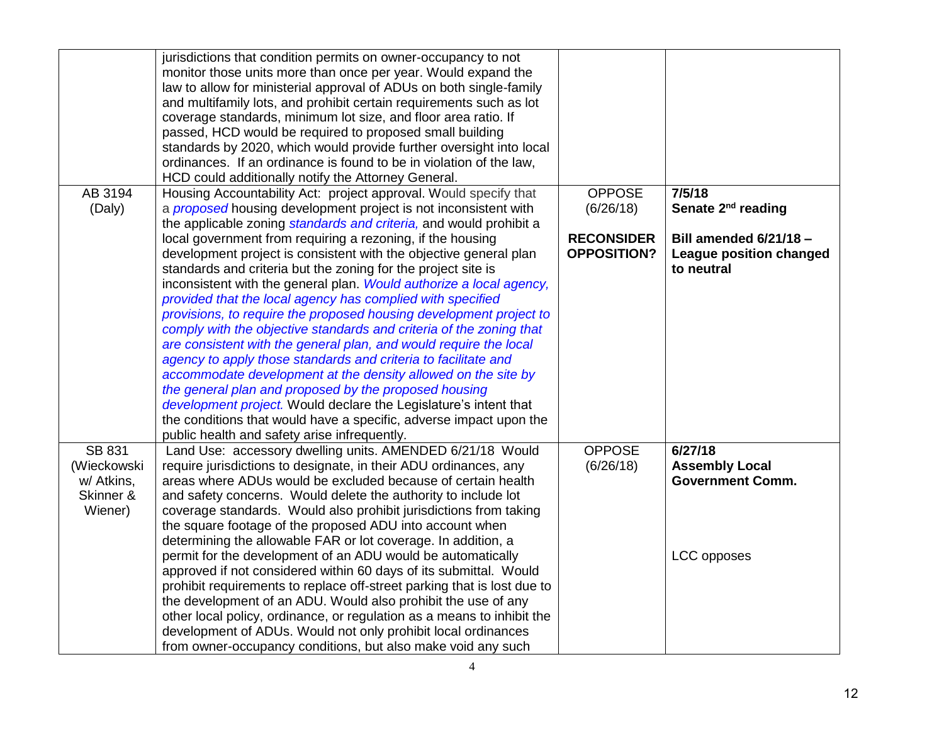|               | jurisdictions that condition permits on owner-occupancy to not<br>monitor those units more than once per year. Would expand the<br>law to allow for ministerial approval of ADUs on both single-family<br>and multifamily lots, and prohibit certain requirements such as lot<br>coverage standards, minimum lot size, and floor area ratio. If<br>passed, HCD would be required to proposed small building<br>standards by 2020, which would provide further oversight into local<br>ordinances. If an ordinance is found to be in violation of the law,<br>HCD could additionally notify the Attorney General. |                    |                                |
|---------------|------------------------------------------------------------------------------------------------------------------------------------------------------------------------------------------------------------------------------------------------------------------------------------------------------------------------------------------------------------------------------------------------------------------------------------------------------------------------------------------------------------------------------------------------------------------------------------------------------------------|--------------------|--------------------------------|
| AB 3194       | Housing Accountability Act: project approval. Would specify that                                                                                                                                                                                                                                                                                                                                                                                                                                                                                                                                                 | <b>OPPOSE</b>      | 7/5/18                         |
| (Daly)        | a <i>proposed</i> housing development project is not inconsistent with                                                                                                                                                                                                                                                                                                                                                                                                                                                                                                                                           | (6/26/18)          | Senate 2 <sup>nd</sup> reading |
|               | the applicable zoning standards and criteria, and would prohibit a<br>local government from requiring a rezoning, if the housing                                                                                                                                                                                                                                                                                                                                                                                                                                                                                 | <b>RECONSIDER</b>  | <b>Bill amended 6/21/18 -</b>  |
|               | development project is consistent with the objective general plan                                                                                                                                                                                                                                                                                                                                                                                                                                                                                                                                                | <b>OPPOSITION?</b> | <b>League position changed</b> |
|               | standards and criteria but the zoning for the project site is                                                                                                                                                                                                                                                                                                                                                                                                                                                                                                                                                    |                    | to neutral                     |
|               | inconsistent with the general plan. Would authorize a local agency,                                                                                                                                                                                                                                                                                                                                                                                                                                                                                                                                              |                    |                                |
|               | provided that the local agency has complied with specified<br>provisions, to require the proposed housing development project to                                                                                                                                                                                                                                                                                                                                                                                                                                                                                 |                    |                                |
|               | comply with the objective standards and criteria of the zoning that                                                                                                                                                                                                                                                                                                                                                                                                                                                                                                                                              |                    |                                |
|               | are consistent with the general plan, and would require the local                                                                                                                                                                                                                                                                                                                                                                                                                                                                                                                                                |                    |                                |
|               | agency to apply those standards and criteria to facilitate and                                                                                                                                                                                                                                                                                                                                                                                                                                                                                                                                                   |                    |                                |
|               | accommodate development at the density allowed on the site by                                                                                                                                                                                                                                                                                                                                                                                                                                                                                                                                                    |                    |                                |
|               | the general plan and proposed by the proposed housing                                                                                                                                                                                                                                                                                                                                                                                                                                                                                                                                                            |                    |                                |
|               | development project. Would declare the Legislature's intent that                                                                                                                                                                                                                                                                                                                                                                                                                                                                                                                                                 |                    |                                |
|               | the conditions that would have a specific, adverse impact upon the                                                                                                                                                                                                                                                                                                                                                                                                                                                                                                                                               |                    |                                |
| <b>SB 831</b> | public health and safety arise infrequently.<br>Land Use: accessory dwelling units. AMENDED 6/21/18 Would                                                                                                                                                                                                                                                                                                                                                                                                                                                                                                        | <b>OPPOSE</b>      | 6/27/18                        |
| (Wieckowski   | require jurisdictions to designate, in their ADU ordinances, any                                                                                                                                                                                                                                                                                                                                                                                                                                                                                                                                                 | (6/26/18)          | <b>Assembly Local</b>          |
| w/ Atkins,    | areas where ADUs would be excluded because of certain health                                                                                                                                                                                                                                                                                                                                                                                                                                                                                                                                                     |                    | <b>Government Comm.</b>        |
| Skinner &     | and safety concerns. Would delete the authority to include lot                                                                                                                                                                                                                                                                                                                                                                                                                                                                                                                                                   |                    |                                |
| Wiener)       | coverage standards. Would also prohibit jurisdictions from taking                                                                                                                                                                                                                                                                                                                                                                                                                                                                                                                                                |                    |                                |
|               | the square footage of the proposed ADU into account when                                                                                                                                                                                                                                                                                                                                                                                                                                                                                                                                                         |                    |                                |
|               | determining the allowable FAR or lot coverage. In addition, a                                                                                                                                                                                                                                                                                                                                                                                                                                                                                                                                                    |                    |                                |
|               | permit for the development of an ADU would be automatically                                                                                                                                                                                                                                                                                                                                                                                                                                                                                                                                                      |                    | LCC opposes                    |
|               | approved if not considered within 60 days of its submittal. Would                                                                                                                                                                                                                                                                                                                                                                                                                                                                                                                                                |                    |                                |
|               | prohibit requirements to replace off-street parking that is lost due to                                                                                                                                                                                                                                                                                                                                                                                                                                                                                                                                          |                    |                                |
|               | the development of an ADU. Would also prohibit the use of any                                                                                                                                                                                                                                                                                                                                                                                                                                                                                                                                                    |                    |                                |
|               | other local policy, ordinance, or regulation as a means to inhibit the<br>development of ADUs. Would not only prohibit local ordinances                                                                                                                                                                                                                                                                                                                                                                                                                                                                          |                    |                                |
|               | from owner-occupancy conditions, but also make void any such                                                                                                                                                                                                                                                                                                                                                                                                                                                                                                                                                     |                    |                                |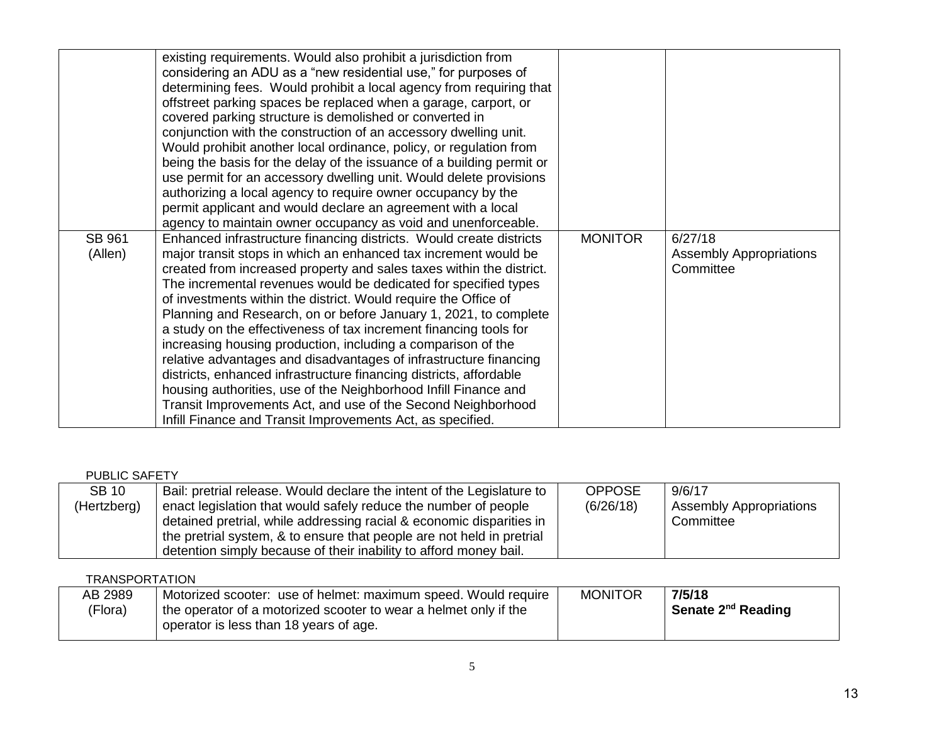|                   | existing requirements. Would also prohibit a jurisdiction from<br>considering an ADU as a "new residential use," for purposes of<br>determining fees. Would prohibit a local agency from requiring that<br>offstreet parking spaces be replaced when a garage, carport, or<br>covered parking structure is demolished or converted in<br>conjunction with the construction of an accessory dwelling unit.<br>Would prohibit another local ordinance, policy, or regulation from<br>being the basis for the delay of the issuance of a building permit or<br>use permit for an accessory dwelling unit. Would delete provisions<br>authorizing a local agency to require owner occupancy by the<br>permit applicant and would declare an agreement with a local<br>agency to maintain owner occupancy as void and unenforceable.                                                                           |                |                                                        |
|-------------------|-----------------------------------------------------------------------------------------------------------------------------------------------------------------------------------------------------------------------------------------------------------------------------------------------------------------------------------------------------------------------------------------------------------------------------------------------------------------------------------------------------------------------------------------------------------------------------------------------------------------------------------------------------------------------------------------------------------------------------------------------------------------------------------------------------------------------------------------------------------------------------------------------------------|----------------|--------------------------------------------------------|
| SB 961<br>(Allen) | Enhanced infrastructure financing districts. Would create districts<br>major transit stops in which an enhanced tax increment would be<br>created from increased property and sales taxes within the district.<br>The incremental revenues would be dedicated for specified types<br>of investments within the district. Would require the Office of<br>Planning and Research, on or before January 1, 2021, to complete<br>a study on the effectiveness of tax increment financing tools for<br>increasing housing production, including a comparison of the<br>relative advantages and disadvantages of infrastructure financing<br>districts, enhanced infrastructure financing districts, affordable<br>housing authorities, use of the Neighborhood Infill Finance and<br>Transit Improvements Act, and use of the Second Neighborhood<br>Infill Finance and Transit Improvements Act, as specified. | <b>MONITOR</b> | 6/27/18<br><b>Assembly Appropriations</b><br>Committee |

| <b>PUBLIC SAFETY</b> |                                                                        |               |                                |
|----------------------|------------------------------------------------------------------------|---------------|--------------------------------|
| <b>SB 10</b>         | Bail: pretrial release. Would declare the intent of the Legislature to | <b>OPPOSE</b> | 9/6/17                         |
| (Hertzberg)          | enact legislation that would safely reduce the number of people        | (6/26/18)     | <b>Assembly Appropriations</b> |
|                      | detained pretrial, while addressing racial & economic disparities in   |               | Committee                      |
|                      | the pretrial system, & to ensure that people are not held in pretrial  |               |                                |
|                      | detention simply because of their inability to afford money bail.      |               |                                |

# **TRANSPORTATION**

| AB 2989 | Motorized scooter: use of helmet: maximum speed. Would require   | <b>MONITOR</b> | 7/5/18                         |
|---------|------------------------------------------------------------------|----------------|--------------------------------|
| (Flora) | the operator of a motorized scooter to wear a helmet only if the |                | Senate 2 <sup>nd</sup> Reading |
|         | operator is less than 18 years of age.                           |                |                                |